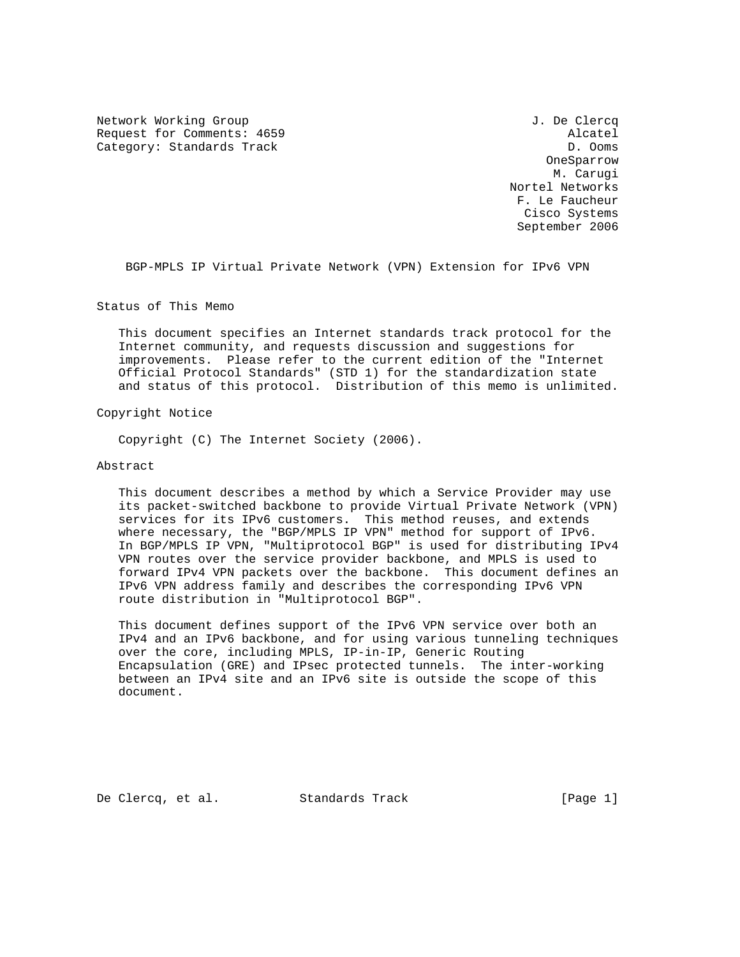Network Working Group J. De Clercq Request for Comments: 4659 Alcatel Category: Standards Track D. Ooms D. Ooms

 OneSparrow M. Carugi Nortel Networks F. Le Faucheur Cisco Systems September 2006

BGP-MPLS IP Virtual Private Network (VPN) Extension for IPv6 VPN

Status of This Memo

 This document specifies an Internet standards track protocol for the Internet community, and requests discussion and suggestions for improvements. Please refer to the current edition of the "Internet Official Protocol Standards" (STD 1) for the standardization state and status of this protocol. Distribution of this memo is unlimited.

Copyright Notice

Copyright (C) The Internet Society (2006).

### Abstract

 This document describes a method by which a Service Provider may use its packet-switched backbone to provide Virtual Private Network (VPN) services for its IPv6 customers. This method reuses, and extends where necessary, the "BGP/MPLS IP VPN" method for support of IPv6. In BGP/MPLS IP VPN, "Multiprotocol BGP" is used for distributing IPv4 VPN routes over the service provider backbone, and MPLS is used to forward IPv4 VPN packets over the backbone. This document defines an IPv6 VPN address family and describes the corresponding IPv6 VPN route distribution in "Multiprotocol BGP".

 This document defines support of the IPv6 VPN service over both an IPv4 and an IPv6 backbone, and for using various tunneling techniques over the core, including MPLS, IP-in-IP, Generic Routing Encapsulation (GRE) and IPsec protected tunnels. The inter-working between an IPv4 site and an IPv6 site is outside the scope of this document.

De Clercq, et al. Standards Track [Page 1]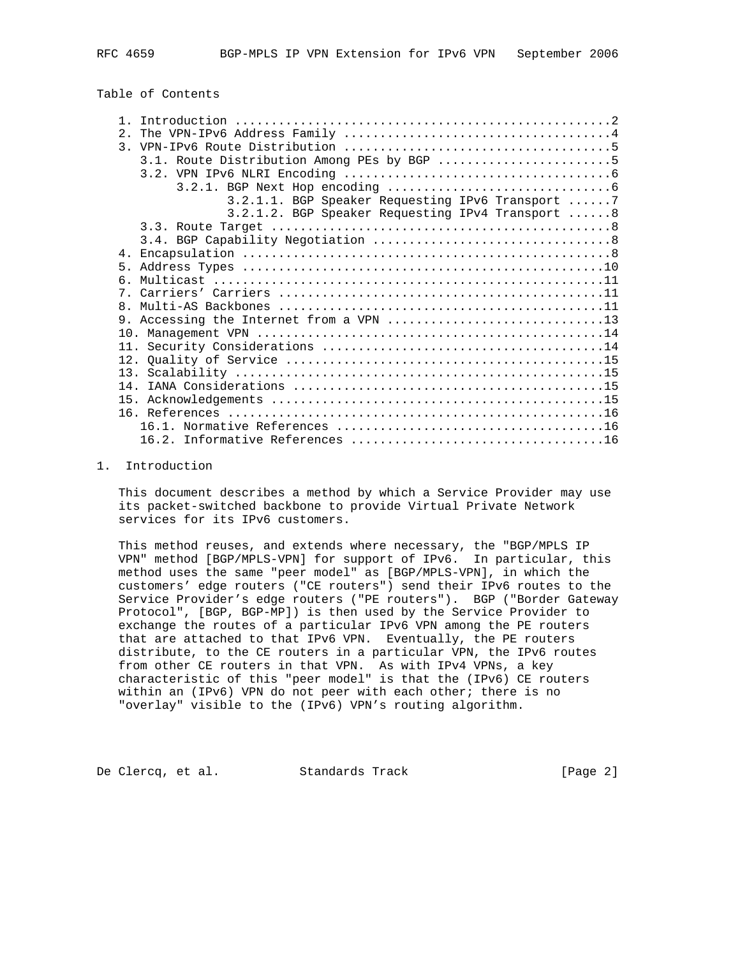## Table of Contents

|                | 3.1. Route Distribution Among PEs by BGP 5       |  |
|----------------|--------------------------------------------------|--|
|                |                                                  |  |
|                |                                                  |  |
|                | 3.2.1.1. BGP Speaker Requesting IPv6 Transport 7 |  |
|                | 3.2.1.2. BGP Speaker Requesting IPv4 Transport 8 |  |
|                |                                                  |  |
|                |                                                  |  |
|                |                                                  |  |
| 5 <sub>1</sub> |                                                  |  |
| რ —            |                                                  |  |
|                |                                                  |  |
| 8 <sub>1</sub> |                                                  |  |
|                |                                                  |  |
|                |                                                  |  |
|                |                                                  |  |
|                |                                                  |  |
|                |                                                  |  |
|                |                                                  |  |
| 15             |                                                  |  |
|                |                                                  |  |
|                |                                                  |  |
|                |                                                  |  |
|                |                                                  |  |

#### 1. Introduction

 This document describes a method by which a Service Provider may use its packet-switched backbone to provide Virtual Private Network services for its IPv6 customers.

 This method reuses, and extends where necessary, the "BGP/MPLS IP VPN" method [BGP/MPLS-VPN] for support of IPv6. In particular, this method uses the same "peer model" as [BGP/MPLS-VPN], in which the customers' edge routers ("CE routers") send their IPv6 routes to the Service Provider's edge routers ("PE routers"). BGP ("Border Gateway Protocol", [BGP, BGP-MP]) is then used by the Service Provider to exchange the routes of a particular IPv6 VPN among the PE routers that are attached to that IPv6 VPN. Eventually, the PE routers distribute, to the CE routers in a particular VPN, the IPv6 routes from other CE routers in that VPN. As with IPv4 VPNs, a key characteristic of this "peer model" is that the (IPv6) CE routers within an (IPv6) VPN do not peer with each other; there is no "overlay" visible to the (IPv6) VPN's routing algorithm.

De Clercq, et al. Standards Track [Page 2]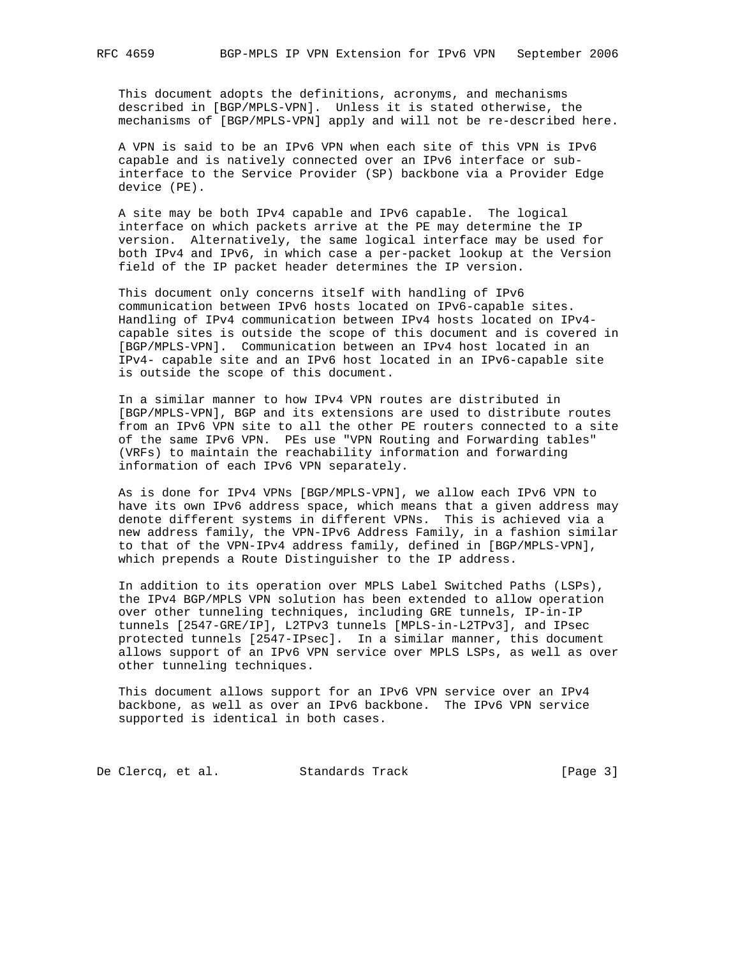This document adopts the definitions, acronyms, and mechanisms described in [BGP/MPLS-VPN]. Unless it is stated otherwise, the mechanisms of [BGP/MPLS-VPN] apply and will not be re-described here.

 A VPN is said to be an IPv6 VPN when each site of this VPN is IPv6 capable and is natively connected over an IPv6 interface or sub interface to the Service Provider (SP) backbone via a Provider Edge device (PE).

 A site may be both IPv4 capable and IPv6 capable. The logical interface on which packets arrive at the PE may determine the IP version. Alternatively, the same logical interface may be used for both IPv4 and IPv6, in which case a per-packet lookup at the Version field of the IP packet header determines the IP version.

 This document only concerns itself with handling of IPv6 communication between IPv6 hosts located on IPv6-capable sites. Handling of IPv4 communication between IPv4 hosts located on IPv4 capable sites is outside the scope of this document and is covered in [BGP/MPLS-VPN]. Communication between an IPv4 host located in an IPv4- capable site and an IPv6 host located in an IPv6-capable site is outside the scope of this document.

 In a similar manner to how IPv4 VPN routes are distributed in [BGP/MPLS-VPN], BGP and its extensions are used to distribute routes from an IPv6 VPN site to all the other PE routers connected to a site of the same IPv6 VPN. PEs use "VPN Routing and Forwarding tables" (VRFs) to maintain the reachability information and forwarding information of each IPv6 VPN separately.

 As is done for IPv4 VPNs [BGP/MPLS-VPN], we allow each IPv6 VPN to have its own IPv6 address space, which means that a given address may denote different systems in different VPNs. This is achieved via a new address family, the VPN-IPv6 Address Family, in a fashion similar to that of the VPN-IPv4 address family, defined in [BGP/MPLS-VPN], which prepends a Route Distinguisher to the IP address.

 In addition to its operation over MPLS Label Switched Paths (LSPs), the IPv4 BGP/MPLS VPN solution has been extended to allow operation over other tunneling techniques, including GRE tunnels, IP-in-IP tunnels [2547-GRE/IP], L2TPv3 tunnels [MPLS-in-L2TPv3], and IPsec protected tunnels [2547-IPsec]. In a similar manner, this document allows support of an IPv6 VPN service over MPLS LSPs, as well as over other tunneling techniques.

 This document allows support for an IPv6 VPN service over an IPv4 backbone, as well as over an IPv6 backbone. The IPv6 VPN service supported is identical in both cases.

De Clercq, et al. Standards Track [Page 3]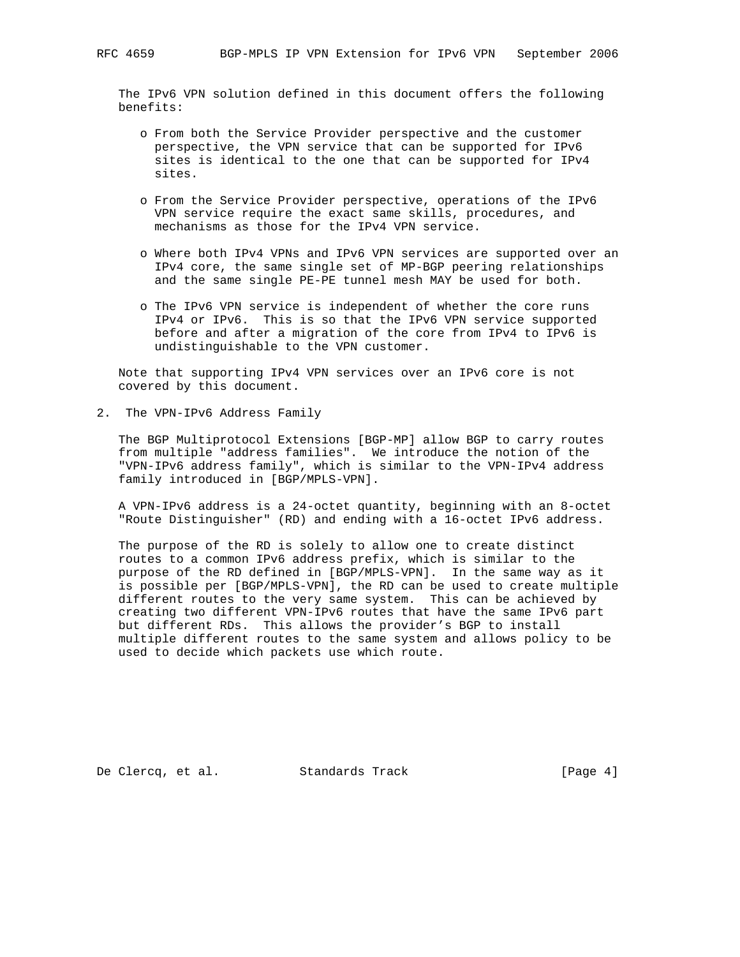The IPv6 VPN solution defined in this document offers the following benefits:

- o From both the Service Provider perspective and the customer perspective, the VPN service that can be supported for IPv6 sites is identical to the one that can be supported for IPv4 sites.
- o From the Service Provider perspective, operations of the IPv6 VPN service require the exact same skills, procedures, and mechanisms as those for the IPv4 VPN service.
- o Where both IPv4 VPNs and IPv6 VPN services are supported over an IPv4 core, the same single set of MP-BGP peering relationships and the same single PE-PE tunnel mesh MAY be used for both.
- o The IPv6 VPN service is independent of whether the core runs IPv4 or IPv6. This is so that the IPv6 VPN service supported before and after a migration of the core from IPv4 to IPv6 is undistinguishable to the VPN customer.

 Note that supporting IPv4 VPN services over an IPv6 core is not covered by this document.

2. The VPN-IPv6 Address Family

 The BGP Multiprotocol Extensions [BGP-MP] allow BGP to carry routes from multiple "address families". We introduce the notion of the "VPN-IPv6 address family", which is similar to the VPN-IPv4 address family introduced in [BGP/MPLS-VPN].

 A VPN-IPv6 address is a 24-octet quantity, beginning with an 8-octet "Route Distinguisher" (RD) and ending with a 16-octet IPv6 address.

 The purpose of the RD is solely to allow one to create distinct routes to a common IPv6 address prefix, which is similar to the purpose of the RD defined in [BGP/MPLS-VPN]. In the same way as it is possible per [BGP/MPLS-VPN], the RD can be used to create multiple different routes to the very same system. This can be achieved by creating two different VPN-IPv6 routes that have the same IPv6 part but different RDs. This allows the provider's BGP to install multiple different routes to the same system and allows policy to be used to decide which packets use which route.

De Clercq, et al. Standards Track [Page 4]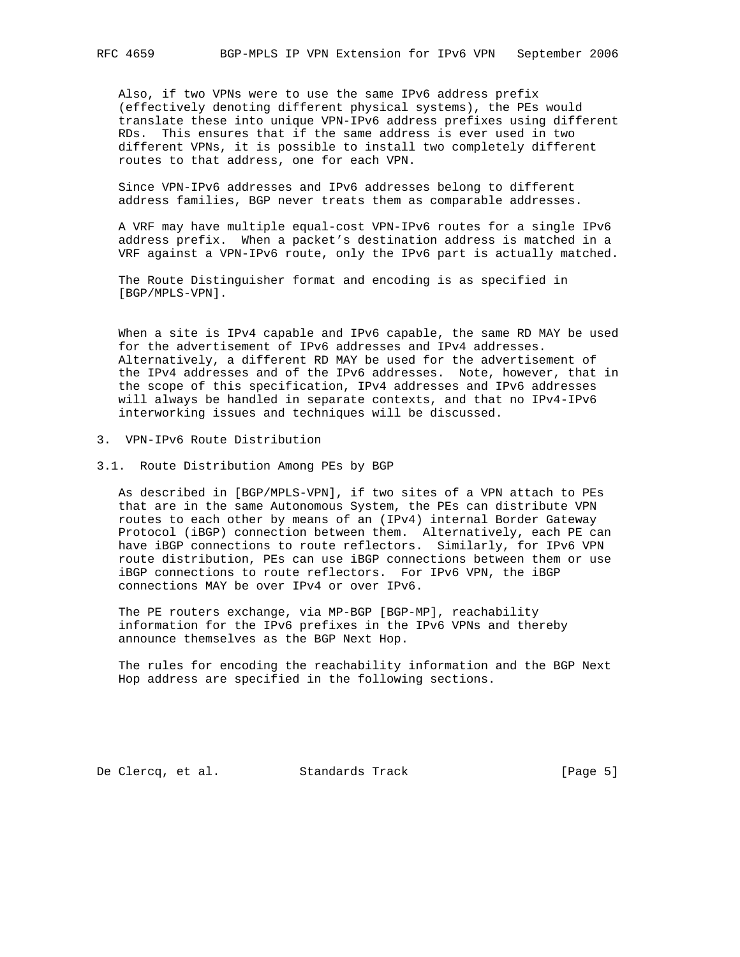Also, if two VPNs were to use the same IPv6 address prefix (effectively denoting different physical systems), the PEs would translate these into unique VPN-IPv6 address prefixes using different RDs. This ensures that if the same address is ever used in two different VPNs, it is possible to install two completely different routes to that address, one for each VPN.

 Since VPN-IPv6 addresses and IPv6 addresses belong to different address families, BGP never treats them as comparable addresses.

 A VRF may have multiple equal-cost VPN-IPv6 routes for a single IPv6 address prefix. When a packet's destination address is matched in a VRF against a VPN-IPv6 route, only the IPv6 part is actually matched.

 The Route Distinguisher format and encoding is as specified in [BGP/MPLS-VPN].

 When a site is IPv4 capable and IPv6 capable, the same RD MAY be used for the advertisement of IPv6 addresses and IPv4 addresses. Alternatively, a different RD MAY be used for the advertisement of the IPv4 addresses and of the IPv6 addresses. Note, however, that in the scope of this specification, IPv4 addresses and IPv6 addresses will always be handled in separate contexts, and that no IPv4-IPv6 interworking issues and techniques will be discussed.

- 3. VPN-IPv6 Route Distribution
- 3.1. Route Distribution Among PEs by BGP

 As described in [BGP/MPLS-VPN], if two sites of a VPN attach to PEs that are in the same Autonomous System, the PEs can distribute VPN routes to each other by means of an (IPv4) internal Border Gateway Protocol (iBGP) connection between them. Alternatively, each PE can have iBGP connections to route reflectors. Similarly, for IPv6 VPN route distribution, PEs can use iBGP connections between them or use iBGP connections to route reflectors. For IPv6 VPN, the iBGP connections MAY be over IPv4 or over IPv6.

 The PE routers exchange, via MP-BGP [BGP-MP], reachability information for the IPv6 prefixes in the IPv6 VPNs and thereby announce themselves as the BGP Next Hop.

 The rules for encoding the reachability information and the BGP Next Hop address are specified in the following sections.

De Clercq, et al. Standards Track [Page 5]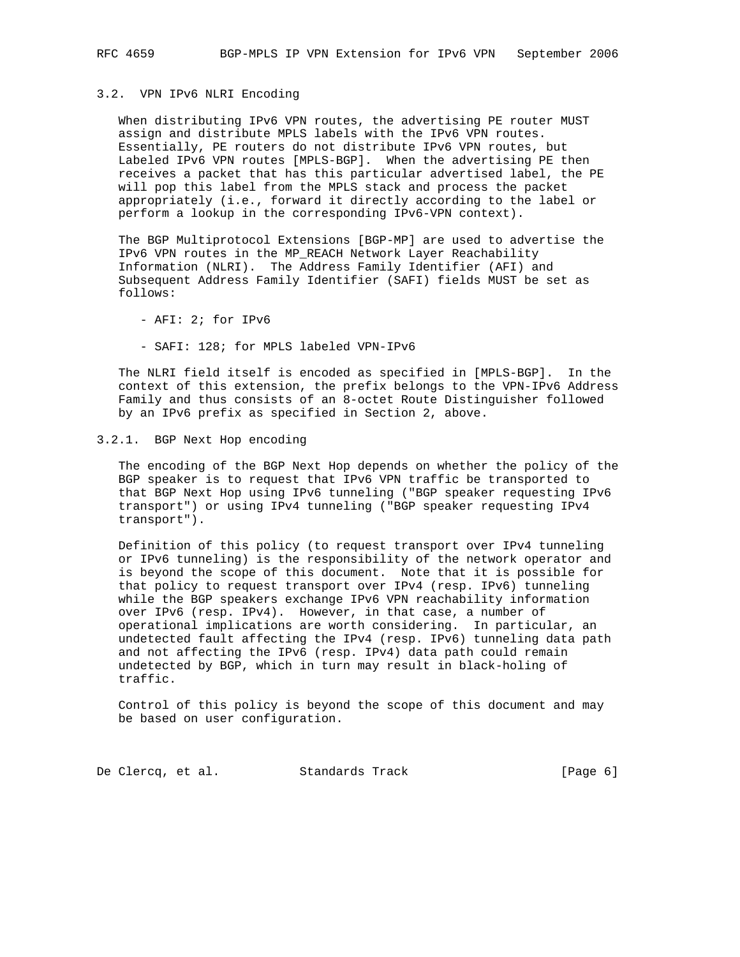### 3.2. VPN IPv6 NLRI Encoding

 When distributing IPv6 VPN routes, the advertising PE router MUST assign and distribute MPLS labels with the IPv6 VPN routes. Essentially, PE routers do not distribute IPv6 VPN routes, but Labeled IPv6 VPN routes [MPLS-BGP]. When the advertising PE then receives a packet that has this particular advertised label, the PE will pop this label from the MPLS stack and process the packet appropriately (i.e., forward it directly according to the label or perform a lookup in the corresponding IPv6-VPN context).

 The BGP Multiprotocol Extensions [BGP-MP] are used to advertise the IPv6 VPN routes in the MP\_REACH Network Layer Reachability Information (NLRI). The Address Family Identifier (AFI) and Subsequent Address Family Identifier (SAFI) fields MUST be set as follows:

- AFI: 2; for IPv6

- SAFI: 128; for MPLS labeled VPN-IPv6

 The NLRI field itself is encoded as specified in [MPLS-BGP]. In the context of this extension, the prefix belongs to the VPN-IPv6 Address Family and thus consists of an 8-octet Route Distinguisher followed by an IPv6 prefix as specified in Section 2, above.

### 3.2.1. BGP Next Hop encoding

 The encoding of the BGP Next Hop depends on whether the policy of the BGP speaker is to request that IPv6 VPN traffic be transported to that BGP Next Hop using IPv6 tunneling ("BGP speaker requesting IPv6 transport") or using IPv4 tunneling ("BGP speaker requesting IPv4 transport").

 Definition of this policy (to request transport over IPv4 tunneling or IPv6 tunneling) is the responsibility of the network operator and is beyond the scope of this document. Note that it is possible for that policy to request transport over IPv4 (resp. IPv6) tunneling while the BGP speakers exchange IPv6 VPN reachability information over IPv6 (resp. IPv4). However, in that case, a number of operational implications are worth considering. In particular, an undetected fault affecting the IPv4 (resp. IPv6) tunneling data path and not affecting the IPv6 (resp. IPv4) data path could remain undetected by BGP, which in turn may result in black-holing of traffic.

 Control of this policy is beyond the scope of this document and may be based on user configuration.

De Clercq, et al. Standards Track [Page 6]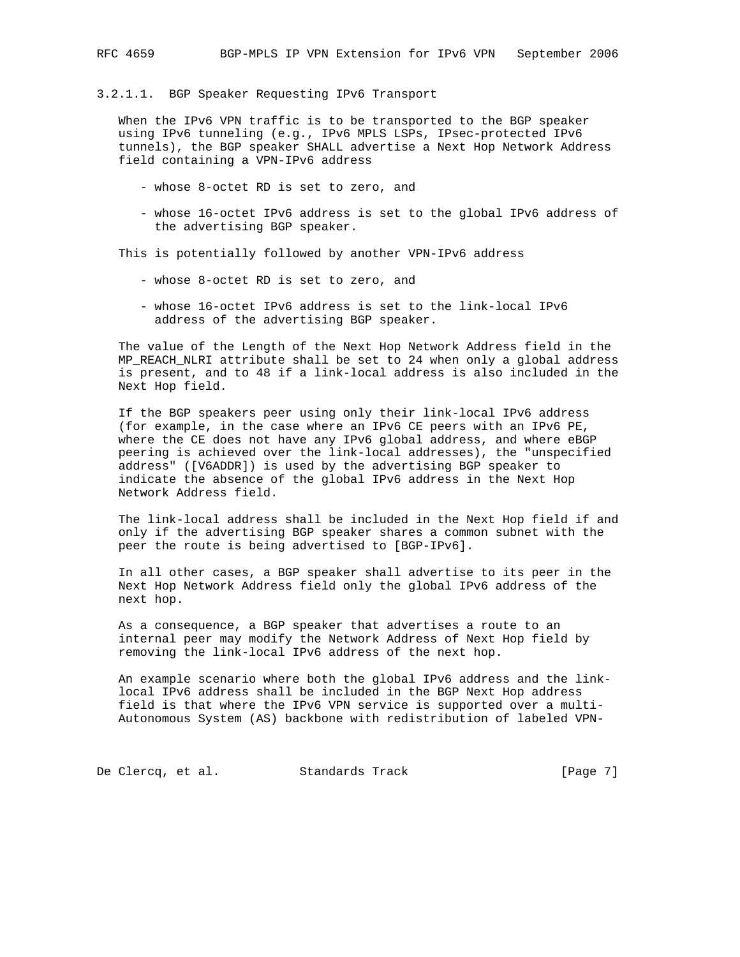3.2.1.1. BGP Speaker Requesting IPv6 Transport

 When the IPv6 VPN traffic is to be transported to the BGP speaker using IPv6 tunneling (e.g., IPv6 MPLS LSPs, IPsec-protected IPv6 tunnels), the BGP speaker SHALL advertise a Next Hop Network Address field containing a VPN-IPv6 address

- whose 8-octet RD is set to zero, and
- whose 16-octet IPv6 address is set to the global IPv6 address of the advertising BGP speaker.

This is potentially followed by another VPN-IPv6 address

- whose 8-octet RD is set to zero, and
- whose 16-octet IPv6 address is set to the link-local IPv6 address of the advertising BGP speaker.

 The value of the Length of the Next Hop Network Address field in the MP\_REACH\_NLRI attribute shall be set to 24 when only a global address is present, and to 48 if a link-local address is also included in the Next Hop field.

 If the BGP speakers peer using only their link-local IPv6 address (for example, in the case where an IPv6 CE peers with an IPv6 PE, where the CE does not have any IPv6 global address, and where eBGP peering is achieved over the link-local addresses), the "unspecified address" ([V6ADDR]) is used by the advertising BGP speaker to indicate the absence of the global IPv6 address in the Next Hop Network Address field.

 The link-local address shall be included in the Next Hop field if and only if the advertising BGP speaker shares a common subnet with the peer the route is being advertised to [BGP-IPv6].

 In all other cases, a BGP speaker shall advertise to its peer in the Next Hop Network Address field only the global IPv6 address of the next hop.

 As a consequence, a BGP speaker that advertises a route to an internal peer may modify the Network Address of Next Hop field by removing the link-local IPv6 address of the next hop.

 An example scenario where both the global IPv6 address and the link local IPv6 address shall be included in the BGP Next Hop address field is that where the IPv6 VPN service is supported over a multi- Autonomous System (AS) backbone with redistribution of labeled VPN-

De Clercq, et al. Standards Track [Page 7]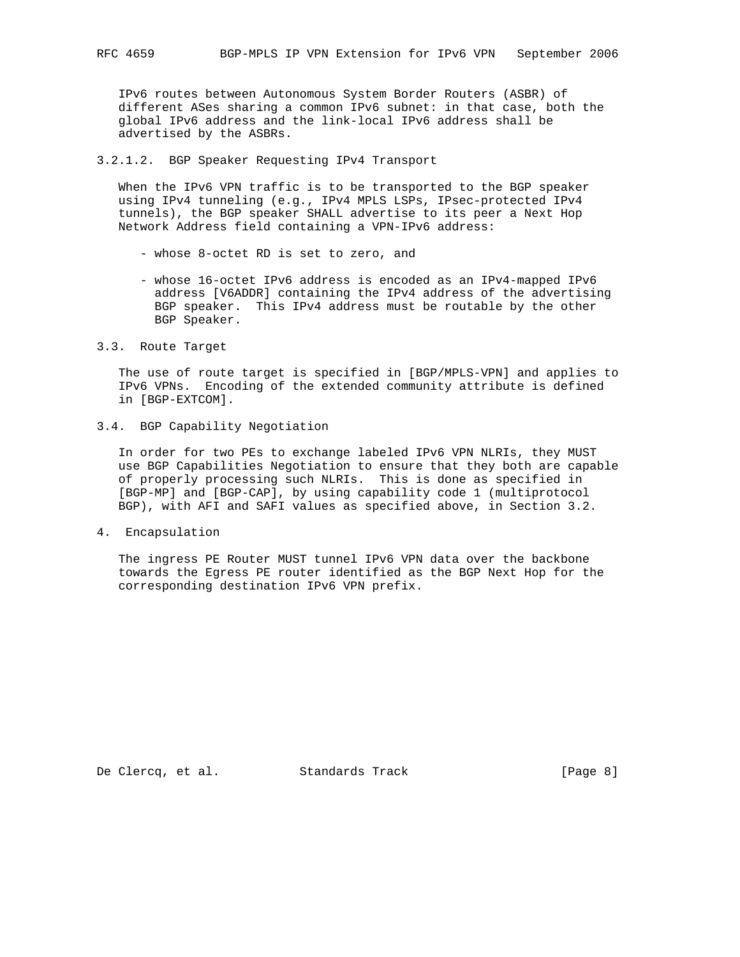IPv6 routes between Autonomous System Border Routers (ASBR) of different ASes sharing a common IPv6 subnet: in that case, both the global IPv6 address and the link-local IPv6 address shall be advertised by the ASBRs.

3.2.1.2. BGP Speaker Requesting IPv4 Transport

 When the IPv6 VPN traffic is to be transported to the BGP speaker using IPv4 tunneling (e.g., IPv4 MPLS LSPs, IPsec-protected IPv4 tunnels), the BGP speaker SHALL advertise to its peer a Next Hop Network Address field containing a VPN-IPv6 address:

- whose 8-octet RD is set to zero, and
- whose 16-octet IPv6 address is encoded as an IPv4-mapped IPv6 address [V6ADDR] containing the IPv4 address of the advertising BGP speaker. This IPv4 address must be routable by the other BGP Speaker.
- 3.3. Route Target

 The use of route target is specified in [BGP/MPLS-VPN] and applies to IPv6 VPNs. Encoding of the extended community attribute is defined in [BGP-EXTCOM].

3.4. BGP Capability Negotiation

 In order for two PEs to exchange labeled IPv6 VPN NLRIs, they MUST use BGP Capabilities Negotiation to ensure that they both are capable of properly processing such NLRIs. This is done as specified in [BGP-MP] and [BGP-CAP], by using capability code 1 (multiprotocol BGP), with AFI and SAFI values as specified above, in Section 3.2.

4. Encapsulation

 The ingress PE Router MUST tunnel IPv6 VPN data over the backbone towards the Egress PE router identified as the BGP Next Hop for the corresponding destination IPv6 VPN prefix.

De Clercq, et al. Standards Track [Page 8]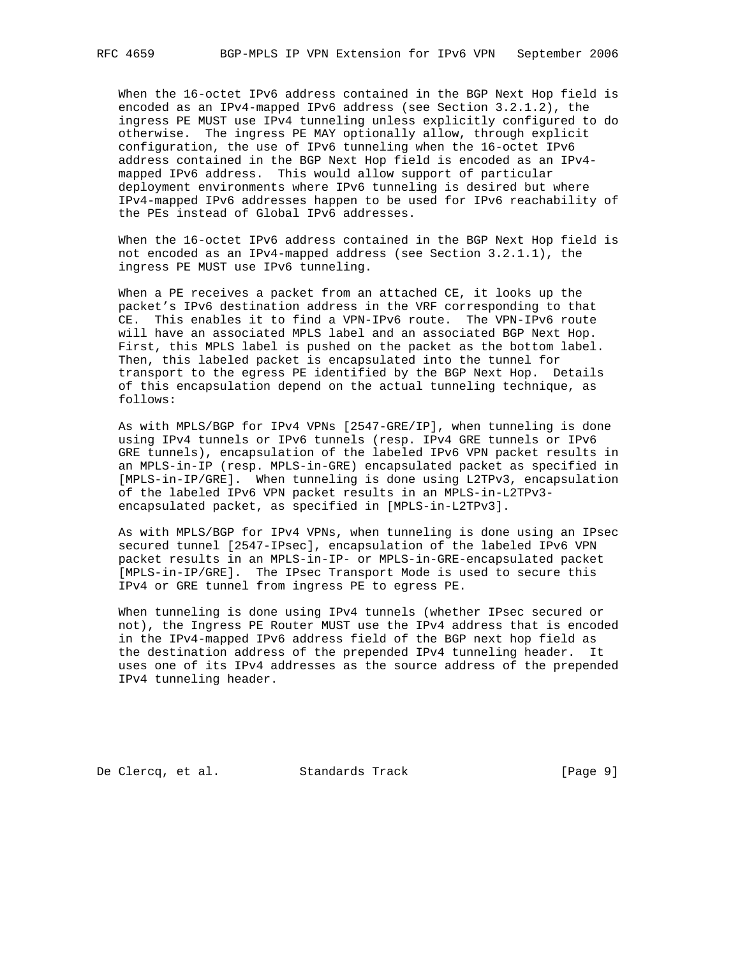When the 16-octet IPv6 address contained in the BGP Next Hop field is encoded as an IPv4-mapped IPv6 address (see Section 3.2.1.2), the ingress PE MUST use IPv4 tunneling unless explicitly configured to do otherwise. The ingress PE MAY optionally allow, through explicit configuration, the use of IPv6 tunneling when the 16-octet IPv6 address contained in the BGP Next Hop field is encoded as an IPv4 mapped IPv6 address. This would allow support of particular deployment environments where IPv6 tunneling is desired but where IPv4-mapped IPv6 addresses happen to be used for IPv6 reachability of the PEs instead of Global IPv6 addresses.

 When the 16-octet IPv6 address contained in the BGP Next Hop field is not encoded as an IPv4-mapped address (see Section 3.2.1.1), the ingress PE MUST use IPv6 tunneling.

 When a PE receives a packet from an attached CE, it looks up the packet's IPv6 destination address in the VRF corresponding to that CE. This enables it to find a VPN-IPv6 route. The VPN-IPv6 route will have an associated MPLS label and an associated BGP Next Hop. First, this MPLS label is pushed on the packet as the bottom label. Then, this labeled packet is encapsulated into the tunnel for transport to the egress PE identified by the BGP Next Hop. Details of this encapsulation depend on the actual tunneling technique, as follows:

 As with MPLS/BGP for IPv4 VPNs [2547-GRE/IP], when tunneling is done using IPv4 tunnels or IPv6 tunnels (resp. IPv4 GRE tunnels or IPv6 GRE tunnels), encapsulation of the labeled IPv6 VPN packet results in an MPLS-in-IP (resp. MPLS-in-GRE) encapsulated packet as specified in [MPLS-in-IP/GRE]. When tunneling is done using L2TPv3, encapsulation of the labeled IPv6 VPN packet results in an MPLS-in-L2TPv3 encapsulated packet, as specified in [MPLS-in-L2TPv3].

 As with MPLS/BGP for IPv4 VPNs, when tunneling is done using an IPsec secured tunnel [2547-IPsec], encapsulation of the labeled IPv6 VPN packet results in an MPLS-in-IP- or MPLS-in-GRE-encapsulated packet [MPLS-in-IP/GRE]. The IPsec Transport Mode is used to secure this IPv4 or GRE tunnel from ingress PE to egress PE.

 When tunneling is done using IPv4 tunnels (whether IPsec secured or not), the Ingress PE Router MUST use the IPv4 address that is encoded in the IPv4-mapped IPv6 address field of the BGP next hop field as the destination address of the prepended IPv4 tunneling header. It uses one of its IPv4 addresses as the source address of the prepended IPv4 tunneling header.

De Clercq, et al. Standards Track [Page 9]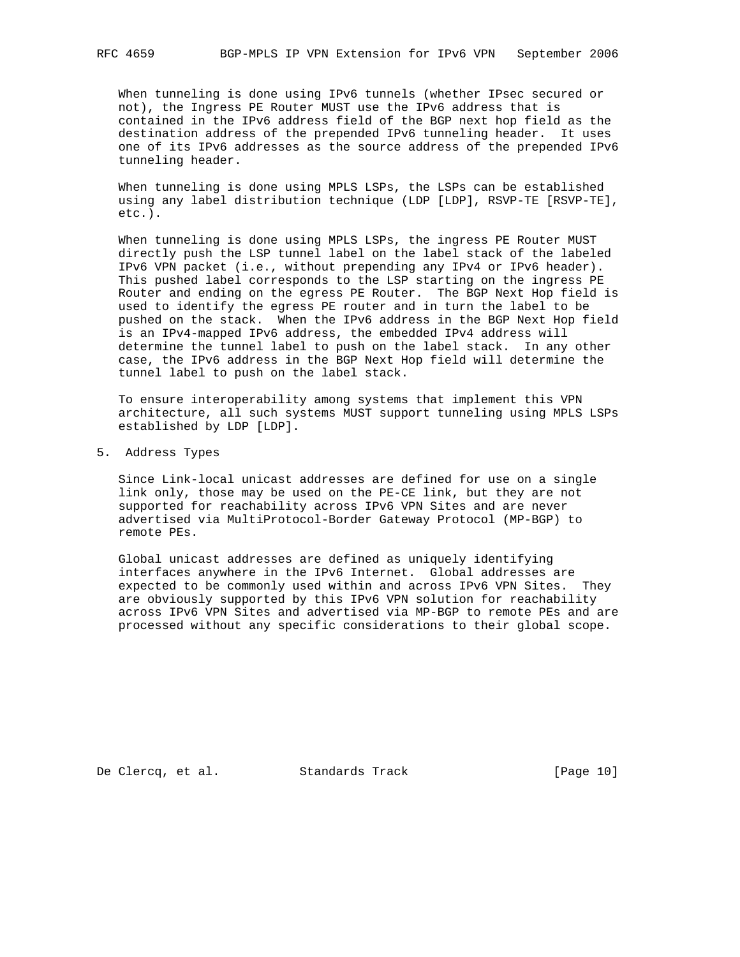When tunneling is done using IPv6 tunnels (whether IPsec secured or not), the Ingress PE Router MUST use the IPv6 address that is contained in the IPv6 address field of the BGP next hop field as the destination address of the prepended IPv6 tunneling header. It uses one of its IPv6 addresses as the source address of the prepended IPv6 tunneling header.

 When tunneling is done using MPLS LSPs, the LSPs can be established using any label distribution technique (LDP [LDP], RSVP-TE [RSVP-TE], etc.).

 When tunneling is done using MPLS LSPs, the ingress PE Router MUST directly push the LSP tunnel label on the label stack of the labeled IPv6 VPN packet (i.e., without prepending any IPv4 or IPv6 header). This pushed label corresponds to the LSP starting on the ingress PE Router and ending on the egress PE Router. The BGP Next Hop field is used to identify the egress PE router and in turn the label to be pushed on the stack. When the IPv6 address in the BGP Next Hop field is an IPv4-mapped IPv6 address, the embedded IPv4 address will determine the tunnel label to push on the label stack. In any other case, the IPv6 address in the BGP Next Hop field will determine the tunnel label to push on the label stack.

 To ensure interoperability among systems that implement this VPN architecture, all such systems MUST support tunneling using MPLS LSPs established by LDP [LDP].

5. Address Types

 Since Link-local unicast addresses are defined for use on a single link only, those may be used on the PE-CE link, but they are not supported for reachability across IPv6 VPN Sites and are never advertised via MultiProtocol-Border Gateway Protocol (MP-BGP) to remote PEs.

 Global unicast addresses are defined as uniquely identifying interfaces anywhere in the IPv6 Internet. Global addresses are expected to be commonly used within and across IPv6 VPN Sites. They are obviously supported by this IPv6 VPN solution for reachability across IPv6 VPN Sites and advertised via MP-BGP to remote PEs and are processed without any specific considerations to their global scope.

De Clercq, et al. Standards Track [Page 10]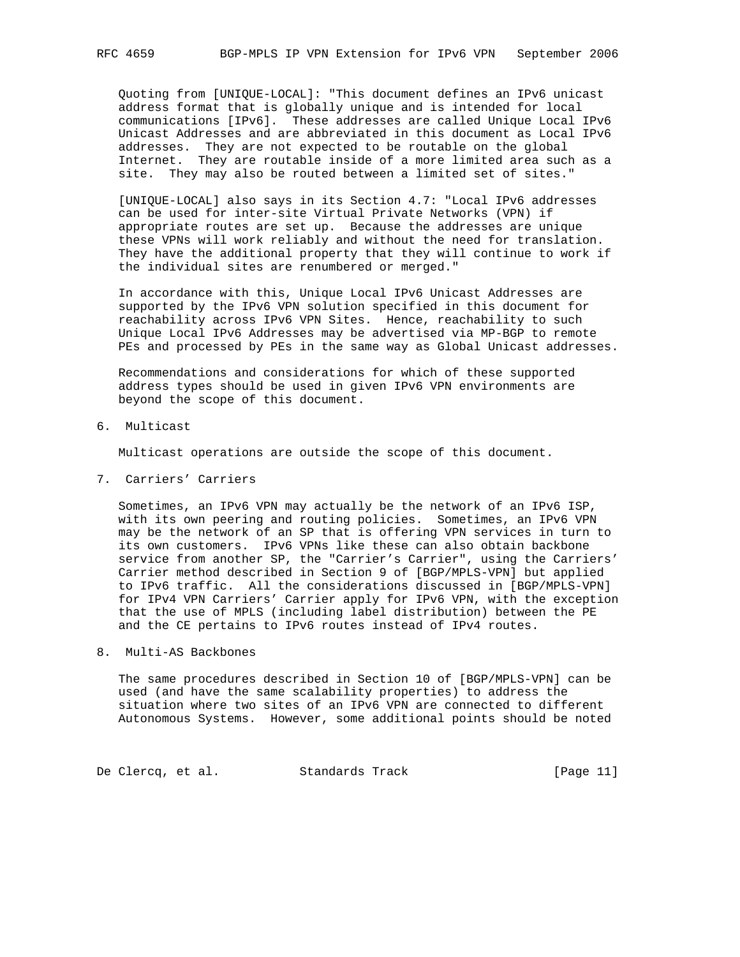Quoting from [UNIQUE-LOCAL]: "This document defines an IPv6 unicast address format that is globally unique and is intended for local communications [IPv6]. These addresses are called Unique Local IPv6 Unicast Addresses and are abbreviated in this document as Local IPv6 addresses. They are not expected to be routable on the global Internet. They are routable inside of a more limited area such as a site. They may also be routed between a limited set of sites."

 [UNIQUE-LOCAL] also says in its Section 4.7: "Local IPv6 addresses can be used for inter-site Virtual Private Networks (VPN) if appropriate routes are set up. Because the addresses are unique these VPNs will work reliably and without the need for translation. They have the additional property that they will continue to work if the individual sites are renumbered or merged."

 In accordance with this, Unique Local IPv6 Unicast Addresses are supported by the IPv6 VPN solution specified in this document for reachability across IPv6 VPN Sites. Hence, reachability to such Unique Local IPv6 Addresses may be advertised via MP-BGP to remote PEs and processed by PEs in the same way as Global Unicast addresses.

 Recommendations and considerations for which of these supported address types should be used in given IPv6 VPN environments are beyond the scope of this document.

6. Multicast

Multicast operations are outside the scope of this document.

7. Carriers' Carriers

 Sometimes, an IPv6 VPN may actually be the network of an IPv6 ISP, with its own peering and routing policies. Sometimes, an IPv6 VPN may be the network of an SP that is offering VPN services in turn to its own customers. IPv6 VPNs like these can also obtain backbone service from another SP, the "Carrier's Carrier", using the Carriers' Carrier method described in Section 9 of [BGP/MPLS-VPN] but applied to IPv6 traffic. All the considerations discussed in [BGP/MPLS-VPN] for IPv4 VPN Carriers' Carrier apply for IPv6 VPN, with the exception that the use of MPLS (including label distribution) between the PE and the CE pertains to IPv6 routes instead of IPv4 routes.

# 8. Multi-AS Backbones

 The same procedures described in Section 10 of [BGP/MPLS-VPN] can be used (and have the same scalability properties) to address the situation where two sites of an IPv6 VPN are connected to different Autonomous Systems. However, some additional points should be noted

De Clercq, et al. Standards Track [Page 11]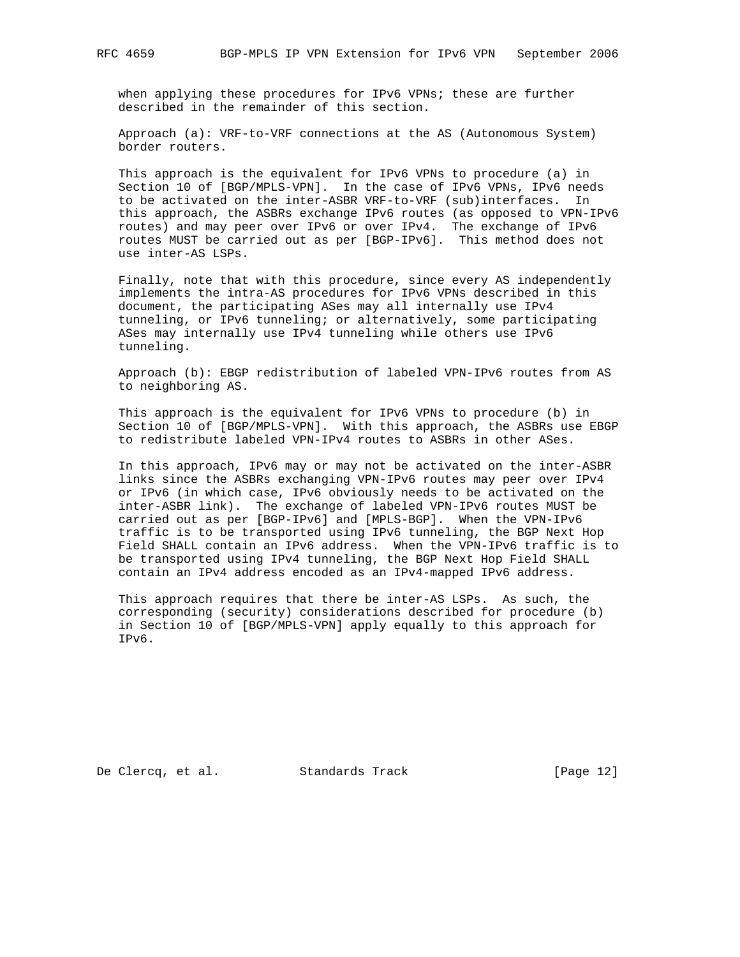when applying these procedures for IPv6 VPNs; these are further described in the remainder of this section.

 Approach (a): VRF-to-VRF connections at the AS (Autonomous System) border routers.

 This approach is the equivalent for IPv6 VPNs to procedure (a) in Section 10 of [BGP/MPLS-VPN]. In the case of IPv6 VPNs, IPv6 needs to be activated on the inter-ASBR VRF-to-VRF (sub)interfaces. In this approach, the ASBRs exchange IPv6 routes (as opposed to VPN-IPv6 routes) and may peer over IPv6 or over IPv4. The exchange of IPv6 routes MUST be carried out as per [BGP-IPv6]. This method does not use inter-AS LSPs.

 Finally, note that with this procedure, since every AS independently implements the intra-AS procedures for IPv6 VPNs described in this document, the participating ASes may all internally use IPv4 tunneling, or IPv6 tunneling; or alternatively, some participating ASes may internally use IPv4 tunneling while others use IPv6 tunneling.

 Approach (b): EBGP redistribution of labeled VPN-IPv6 routes from AS to neighboring AS.

 This approach is the equivalent for IPv6 VPNs to procedure (b) in Section 10 of [BGP/MPLS-VPN]. With this approach, the ASBRs use EBGP to redistribute labeled VPN-IPv4 routes to ASBRs in other ASes.

 In this approach, IPv6 may or may not be activated on the inter-ASBR links since the ASBRs exchanging VPN-IPv6 routes may peer over IPv4 or IPv6 (in which case, IPv6 obviously needs to be activated on the inter-ASBR link). The exchange of labeled VPN-IPv6 routes MUST be carried out as per [BGP-IPv6] and [MPLS-BGP]. When the VPN-IPv6 traffic is to be transported using IPv6 tunneling, the BGP Next Hop Field SHALL contain an IPv6 address. When the VPN-IPv6 traffic is to be transported using IPv4 tunneling, the BGP Next Hop Field SHALL contain an IPv4 address encoded as an IPv4-mapped IPv6 address.

 This approach requires that there be inter-AS LSPs. As such, the corresponding (security) considerations described for procedure (b) in Section 10 of [BGP/MPLS-VPN] apply equally to this approach for IPv6.

De Clercq, et al. Standards Track [Page 12]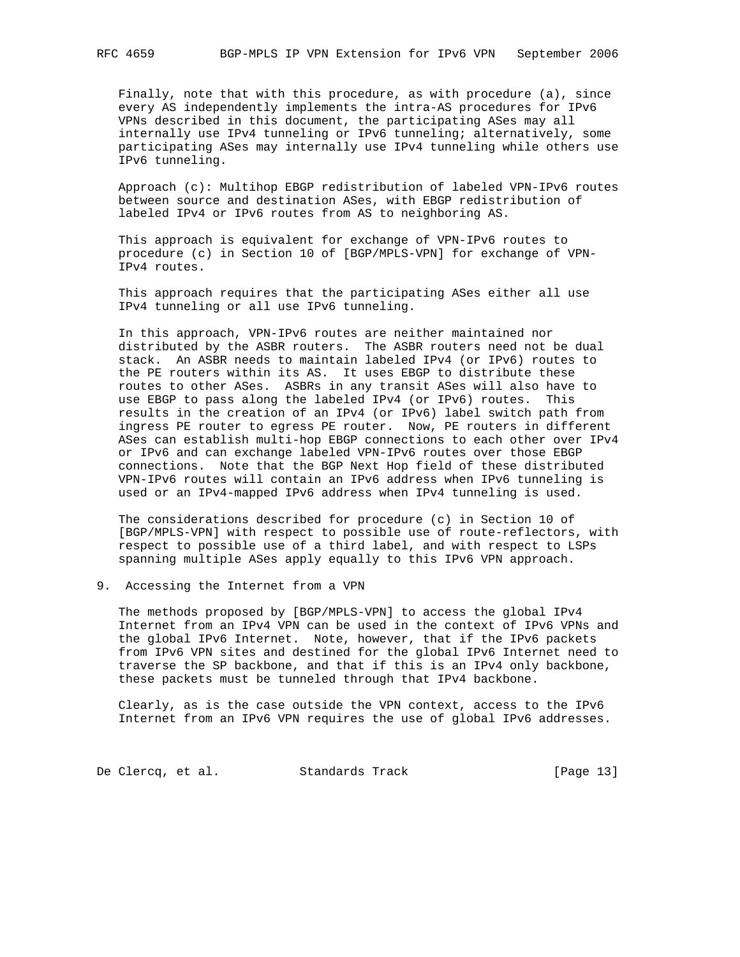Finally, note that with this procedure, as with procedure (a), since every AS independently implements the intra-AS procedures for IPv6 VPNs described in this document, the participating ASes may all internally use IPv4 tunneling or IPv6 tunneling; alternatively, some participating ASes may internally use IPv4 tunneling while others use IPv6 tunneling.

 Approach (c): Multihop EBGP redistribution of labeled VPN-IPv6 routes between source and destination ASes, with EBGP redistribution of labeled IPv4 or IPv6 routes from AS to neighboring AS.

 This approach is equivalent for exchange of VPN-IPv6 routes to procedure (c) in Section 10 of [BGP/MPLS-VPN] for exchange of VPN- IPv4 routes.

 This approach requires that the participating ASes either all use IPv4 tunneling or all use IPv6 tunneling.

 In this approach, VPN-IPv6 routes are neither maintained nor distributed by the ASBR routers. The ASBR routers need not be dual stack. An ASBR needs to maintain labeled IPv4 (or IPv6) routes to the PE routers within its AS. It uses EBGP to distribute these routes to other ASes. ASBRs in any transit ASes will also have to use EBGP to pass along the labeled IPv4 (or IPv6) routes. This results in the creation of an IPv4 (or IPv6) label switch path from ingress PE router to egress PE router. Now, PE routers in different ASes can establish multi-hop EBGP connections to each other over IPv4 or IPv6 and can exchange labeled VPN-IPv6 routes over those EBGP connections. Note that the BGP Next Hop field of these distributed VPN-IPv6 routes will contain an IPv6 address when IPv6 tunneling is used or an IPv4-mapped IPv6 address when IPv4 tunneling is used.

 The considerations described for procedure (c) in Section 10 of [BGP/MPLS-VPN] with respect to possible use of route-reflectors, with respect to possible use of a third label, and with respect to LSPs spanning multiple ASes apply equally to this IPv6 VPN approach.

9. Accessing the Internet from a VPN

 The methods proposed by [BGP/MPLS-VPN] to access the global IPv4 Internet from an IPv4 VPN can be used in the context of IPv6 VPNs and the global IPv6 Internet. Note, however, that if the IPv6 packets from IPv6 VPN sites and destined for the global IPv6 Internet need to traverse the SP backbone, and that if this is an IPv4 only backbone, these packets must be tunneled through that IPv4 backbone.

 Clearly, as is the case outside the VPN context, access to the IPv6 Internet from an IPv6 VPN requires the use of global IPv6 addresses.

De Clercq, et al. Standards Track [Page 13]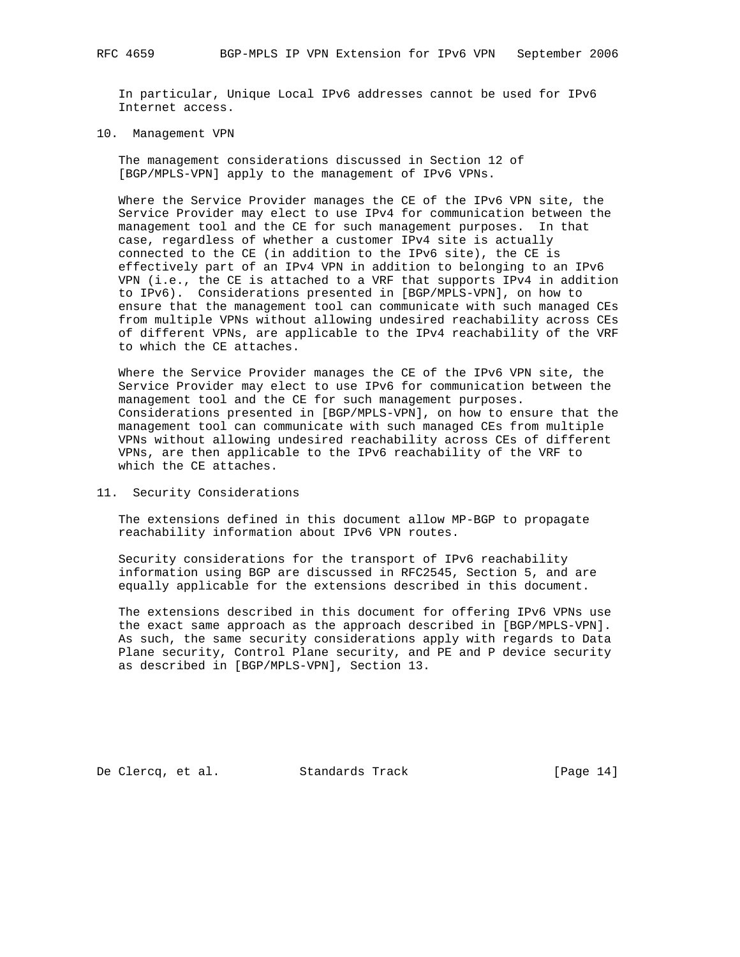In particular, Unique Local IPv6 addresses cannot be used for IPv6 Internet access.

10. Management VPN

 The management considerations discussed in Section 12 of [BGP/MPLS-VPN] apply to the management of IPv6 VPNs.

 Where the Service Provider manages the CE of the IPv6 VPN site, the Service Provider may elect to use IPv4 for communication between the management tool and the CE for such management purposes. In that case, regardless of whether a customer IPv4 site is actually connected to the CE (in addition to the IPv6 site), the CE is effectively part of an IPv4 VPN in addition to belonging to an IPv6 VPN (i.e., the CE is attached to a VRF that supports IPv4 in addition to IPv6). Considerations presented in [BGP/MPLS-VPN], on how to ensure that the management tool can communicate with such managed CEs from multiple VPNs without allowing undesired reachability across CEs of different VPNs, are applicable to the IPv4 reachability of the VRF to which the CE attaches.

 Where the Service Provider manages the CE of the IPv6 VPN site, the Service Provider may elect to use IPv6 for communication between the management tool and the CE for such management purposes. Considerations presented in [BGP/MPLS-VPN], on how to ensure that the management tool can communicate with such managed CEs from multiple VPNs without allowing undesired reachability across CEs of different VPNs, are then applicable to the IPv6 reachability of the VRF to which the CE attaches.

11. Security Considerations

 The extensions defined in this document allow MP-BGP to propagate reachability information about IPv6 VPN routes.

 Security considerations for the transport of IPv6 reachability information using BGP are discussed in RFC2545, Section 5, and are equally applicable for the extensions described in this document.

 The extensions described in this document for offering IPv6 VPNs use the exact same approach as the approach described in [BGP/MPLS-VPN]. As such, the same security considerations apply with regards to Data Plane security, Control Plane security, and PE and P device security as described in [BGP/MPLS-VPN], Section 13.

De Clercq, et al. Standards Track [Page 14]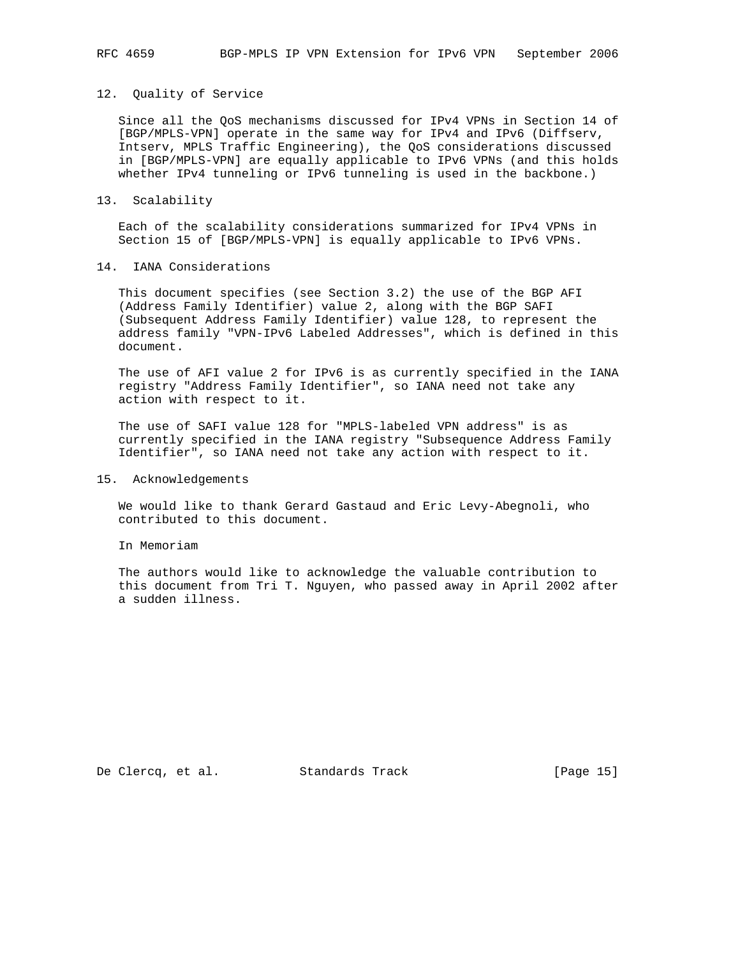#### 12. Quality of Service

 Since all the QoS mechanisms discussed for IPv4 VPNs in Section 14 of [BGP/MPLS-VPN] operate in the same way for IPv4 and IPv6 (Diffserv, Intserv, MPLS Traffic Engineering), the QoS considerations discussed in [BGP/MPLS-VPN] are equally applicable to IPv6 VPNs (and this holds whether IPv4 tunneling or IPv6 tunneling is used in the backbone.)

### 13. Scalability

 Each of the scalability considerations summarized for IPv4 VPNs in Section 15 of [BGP/MPLS-VPN] is equally applicable to IPv6 VPNs.

## 14. IANA Considerations

 This document specifies (see Section 3.2) the use of the BGP AFI (Address Family Identifier) value 2, along with the BGP SAFI (Subsequent Address Family Identifier) value 128, to represent the address family "VPN-IPv6 Labeled Addresses", which is defined in this document.

 The use of AFI value 2 for IPv6 is as currently specified in the IANA registry "Address Family Identifier", so IANA need not take any action with respect to it.

 The use of SAFI value 128 for "MPLS-labeled VPN address" is as currently specified in the IANA registry "Subsequence Address Family Identifier", so IANA need not take any action with respect to it.

#### 15. Acknowledgements

 We would like to thank Gerard Gastaud and Eric Levy-Abegnoli, who contributed to this document.

In Memoriam

 The authors would like to acknowledge the valuable contribution to this document from Tri T. Nguyen, who passed away in April 2002 after a sudden illness.

De Clercq, et al. Standards Track [Page 15]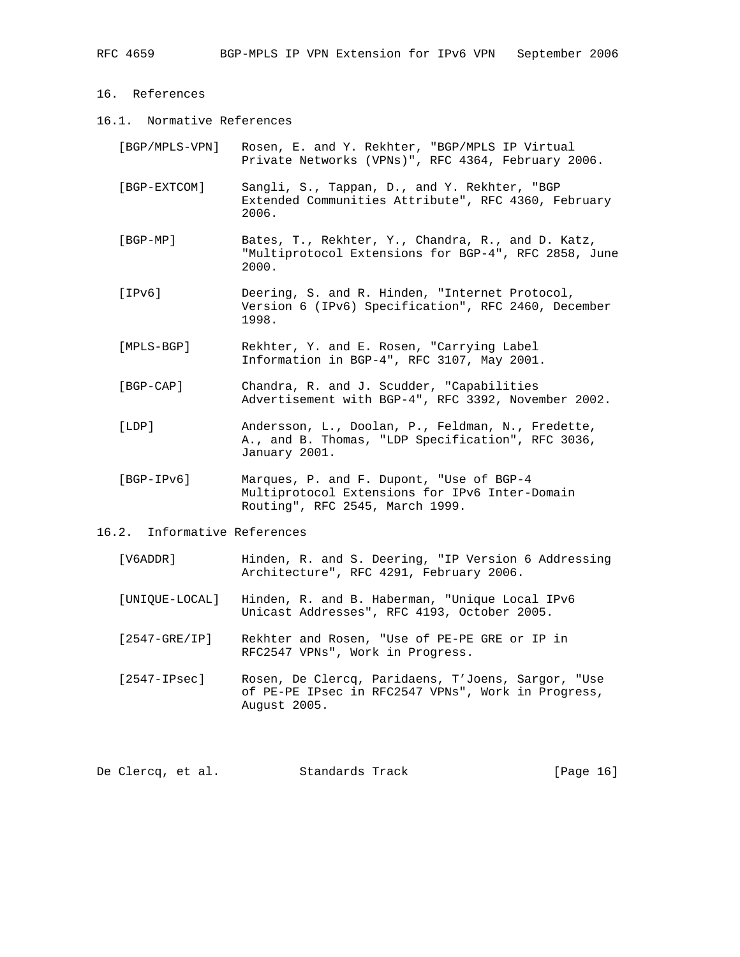- 16. References
- 16.1. Normative References
	- [BGP/MPLS-VPN] Rosen, E. and Y. Rekhter, "BGP/MPLS IP Virtual Private Networks (VPNs)", RFC 4364, February 2006.
	- [BGP-EXTCOM] Sangli, S., Tappan, D., and Y. Rekhter, "BGP Extended Communities Attribute", RFC 4360, February 2006.
	- [BGP-MP] Bates, T., Rekhter, Y., Chandra, R., and D. Katz, "Multiprotocol Extensions for BGP-4", RFC 2858, June 2000.
	- [IPv6] Deering, S. and R. Hinden, "Internet Protocol, Version 6 (IPv6) Specification", RFC 2460, December 1998.
	- [MPLS-BGP] Rekhter, Y. and E. Rosen, "Carrying Label Information in BGP-4", RFC 3107, May 2001.
	- [BGP-CAP] Chandra, R. and J. Scudder, "Capabilities Advertisement with BGP-4", RFC 3392, November 2002.
	- [LDP] Andersson, L., Doolan, P., Feldman, N., Fredette, A., and B. Thomas, "LDP Specification", RFC 3036, January 2001.
	- [BGP-IPv6] Marques, P. and F. Dupont, "Use of BGP-4 Multiprotocol Extensions for IPv6 Inter-Domain Routing", RFC 2545, March 1999.
- 16.2. Informative References
	- [V6ADDR] Hinden, R. and S. Deering, "IP Version 6 Addressing Architecture", RFC 4291, February 2006.
	- [UNIQUE-LOCAL] Hinden, R. and B. Haberman, "Unique Local IPv6 Unicast Addresses", RFC 4193, October 2005.
	- [2547-GRE/IP] Rekhter and Rosen, "Use of PE-PE GRE or IP in RFC2547 VPNs", Work in Progress.
	- [2547-IPsec] Rosen, De Clercq, Paridaens, T'Joens, Sargor, "Use of PE-PE IPsec in RFC2547 VPNs", Work in Progress, August 2005.

De Clercq, et al. Standards Track [Page 16]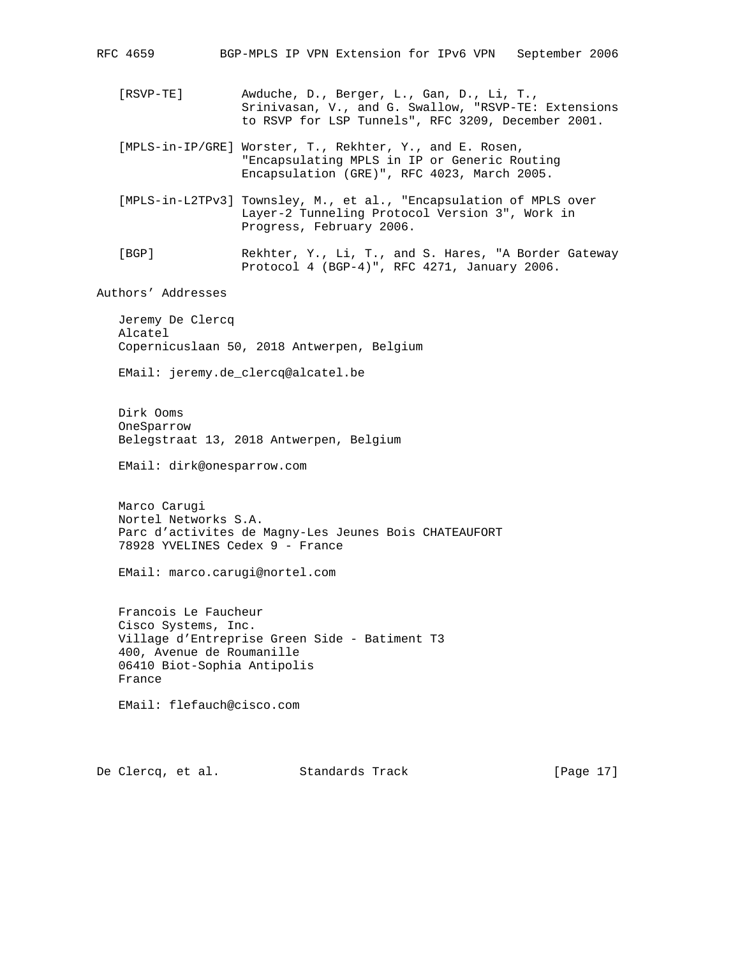RFC 4659 BGP-MPLS IP VPN Extension for IPv6 VPN September 2006 [RSVP-TE] Awduche, D., Berger, L., Gan, D., Li, T., Srinivasan, V., and G. Swallow, "RSVP-TE: Extensions to RSVP for LSP Tunnels", RFC 3209, December 2001. [MPLS-in-IP/GRE] Worster, T., Rekhter, Y., and E. Rosen, "Encapsulating MPLS in IP or Generic Routing Encapsulation (GRE)", RFC 4023, March 2005. [MPLS-in-L2TPv3] Townsley, M., et al., "Encapsulation of MPLS over Layer-2 Tunneling Protocol Version 3", Work in Progress, February 2006. [BGP] Rekhter, Y., Li, T., and S. Hares, "A Border Gateway Protocol 4 (BGP-4)", RFC 4271, January 2006. Authors' Addresses Jeremy De Clercq Alcatel Copernicuslaan 50, 2018 Antwerpen, Belgium EMail: jeremy.de\_clercq@alcatel.be Dirk Ooms OneSparrow Belegstraat 13, 2018 Antwerpen, Belgium EMail: dirk@onesparrow.com Marco Carugi Nortel Networks S.A. Parc d'activites de Magny-Les Jeunes Bois CHATEAUFORT 78928 YVELINES Cedex 9 - France EMail: marco.carugi@nortel.com Francois Le Faucheur Cisco Systems, Inc. Village d'Entreprise Green Side - Batiment T3 400, Avenue de Roumanille 06410 Biot-Sophia Antipolis France EMail: flefauch@cisco.com De Clercq, et al. Standards Track [Page 17]